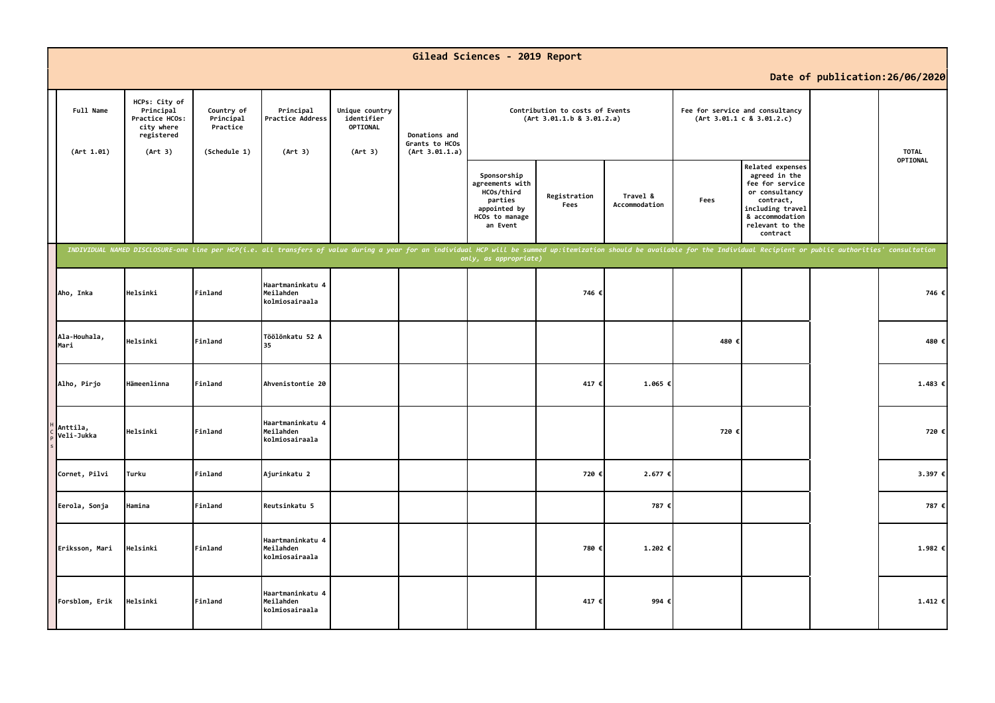|                         |                                                                                     |                                                     |                                                                                                                                                                                                                                |                                                     |                                                   | Gilead Sciences - 2019 Report                                                                         |                      |                                                              |       |                                                                                                                                                           |                                 |          |
|-------------------------|-------------------------------------------------------------------------------------|-----------------------------------------------------|--------------------------------------------------------------------------------------------------------------------------------------------------------------------------------------------------------------------------------|-----------------------------------------------------|---------------------------------------------------|-------------------------------------------------------------------------------------------------------|----------------------|--------------------------------------------------------------|-------|-----------------------------------------------------------------------------------------------------------------------------------------------------------|---------------------------------|----------|
|                         |                                                                                     |                                                     |                                                                                                                                                                                                                                |                                                     |                                                   |                                                                                                       |                      |                                                              |       |                                                                                                                                                           | Date of publication: 26/06/2020 |          |
| Full Name<br>(Art 1.01) | HCPs: City of<br>Principal<br>Practice HCOs:<br>city where<br>registered<br>(Art 3) | Country of<br>Principal<br>Practice<br>(Schedule 1) | Principal<br>Practice Address<br>(Art 3)                                                                                                                                                                                       | Unique country<br>identifier<br>OPTIONAL<br>(Art 3) | Donations and<br>Grants to HCOs<br>(Art 3.01.1.a) | Contribution to costs of Events<br>(Art 3.01.1.b 8 3.01.2.a)                                          |                      | Fee for service and consultancy<br>(Art 3.01.1 c 8 3.01.2.c) |       | <b>TOTAL</b>                                                                                                                                              |                                 |          |
|                         |                                                                                     |                                                     |                                                                                                                                                                                                                                |                                                     |                                                   | Sponsorship<br>agreements with<br>HCOs/third<br>parties<br>appointed by<br>HCOs to manage<br>an Event | Registration<br>Fees | Travel &<br>Accommodation                                    | Fees  | Related expenses<br>agreed in the<br>fee for service<br>or consultancy<br>contract,<br>including travel<br>& accommodation<br>relevant to the<br>contract |                                 | OPTIONAL |
|                         |                                                                                     |                                                     | INDIVIDUAL NAMED DISCLOSURE-one line per HCP(i.e. all transfers of value during a year for an individual HCP will be summed up:itemization should be available for the Individual Recipient or public authorities' consultatio |                                                     |                                                   | only, as appropriate)                                                                                 |                      |                                                              |       |                                                                                                                                                           |                                 |          |
| Aho, Inka               | Helsinki                                                                            | Finland                                             | Haartmaninkatu 4<br>Meilahden<br>kolmiosairaala                                                                                                                                                                                |                                                     |                                                   |                                                                                                       | 746 €                |                                                              |       |                                                                                                                                                           |                                 | 746 €    |
| Ala-Houhala,<br>Mari    | Helsinki                                                                            | Finland                                             | Töölönkatu 52 A<br>35                                                                                                                                                                                                          |                                                     |                                                   |                                                                                                       |                      |                                                              | 480 € |                                                                                                                                                           |                                 | 480 €    |
| Alho, Pirjo             | Hämeenlinna                                                                         | Finland                                             | Ahvenistontie 20                                                                                                                                                                                                               |                                                     |                                                   |                                                                                                       | 417 €                | 1.065 €                                                      |       |                                                                                                                                                           |                                 | 1.483 €  |
| Anttila,<br>Veli-Jukka  | Helsinki                                                                            | Finland                                             | Haartmaninkatu 4<br>Meilahden<br>kolmiosairaala                                                                                                                                                                                |                                                     |                                                   |                                                                                                       |                      |                                                              | 720 € |                                                                                                                                                           |                                 | 720 €    |
| Cornet, Pilvi           | Turku                                                                               | Finland                                             | Ajurinkatu 2                                                                                                                                                                                                                   |                                                     |                                                   |                                                                                                       | 720 €                | 2.677 €                                                      |       |                                                                                                                                                           |                                 | 3.397 €  |
| Eerola, Sonja           | Hamina                                                                              | Finland                                             | Reutsinkatu 5                                                                                                                                                                                                                  |                                                     |                                                   |                                                                                                       |                      | 787 €                                                        |       |                                                                                                                                                           |                                 | 787 €    |
| Eriksson, Mari          | Helsinki                                                                            | Finland                                             | Haartmaninkatu 4<br>Meilahden<br>kolmiosairaala                                                                                                                                                                                |                                                     |                                                   |                                                                                                       | 780€                 | 1.202 €                                                      |       |                                                                                                                                                           |                                 | 1.982 €  |
| Forsblom, Erik          | Helsinki                                                                            | Finland                                             | Haartmaninkatu 4<br>Meilahden<br>kolmiosairaala                                                                                                                                                                                |                                                     |                                                   |                                                                                                       | 417 €                | 994 €                                                        |       |                                                                                                                                                           |                                 | 1.412 €  |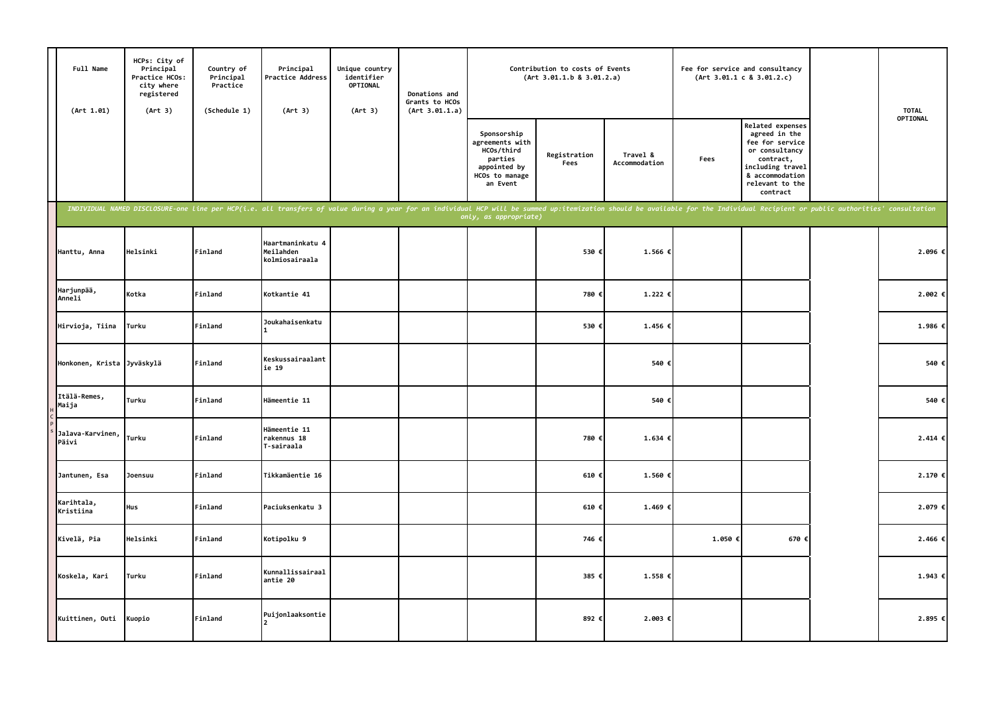| Full Name<br>(Art 1.01)    | HCPs: City of<br>Principal<br>Practice HCOs:<br>city where<br>registered<br>(Art 3) | Country of<br>Principal<br>Practice<br>(Schedule 1) | Principal<br>Practice Address<br>(Art 3)                                                                                                                                                                                       | Unique country<br>identifier<br>OPTIONAL<br>(Art 3) | Donations and<br>Grants to HCOs<br>(Art 3.01.1.a) |                                                                                                       | Contribution to costs of Events<br>(Art 3.01.1.b 8 3.01.2.a) |                           |         | Fee for service and consultancy<br>(Art 3.01.1 c 8 3.01.2.c)                                                                                              | <b>TOTAL</b> |
|----------------------------|-------------------------------------------------------------------------------------|-----------------------------------------------------|--------------------------------------------------------------------------------------------------------------------------------------------------------------------------------------------------------------------------------|-----------------------------------------------------|---------------------------------------------------|-------------------------------------------------------------------------------------------------------|--------------------------------------------------------------|---------------------------|---------|-----------------------------------------------------------------------------------------------------------------------------------------------------------|--------------|
|                            |                                                                                     |                                                     |                                                                                                                                                                                                                                |                                                     |                                                   | Sponsorship<br>agreements with<br>HCOs/third<br>parties<br>appointed by<br>HCOs to manage<br>an Event | Registration<br>Fees                                         | Travel &<br>Accommodation | Fees    | Related expenses<br>agreed in the<br>fee for service<br>or consultancy<br>contract,<br>including travel<br>& accommodation<br>relevant to the<br>contract | OPTIONAL     |
|                            |                                                                                     |                                                     | INDIVIDUAL NAMED DISCLOSURE-one line per HCP(i.e. all transfers of value during a year for an individual HCP will be summed up:itemization should be available for the Individual Recipient or public authorities' consultatio |                                                     |                                                   | only, as appropriate)                                                                                 |                                                              |                           |         |                                                                                                                                                           |              |
| Hanttu, Anna               | Helsinki                                                                            | Finland                                             | Haartmaninkatu 4<br>Meilahden<br>kolmiosairaala                                                                                                                                                                                |                                                     |                                                   |                                                                                                       | 530 €                                                        | 1.566 €                   |         |                                                                                                                                                           | 2.096€       |
| Harjunpää,<br>Anneli       | Kotka                                                                               | Finland                                             | Kotkantie 41                                                                                                                                                                                                                   |                                                     |                                                   |                                                                                                       | 780 €                                                        | 1.222 €                   |         |                                                                                                                                                           | 2.002 €      |
| Hirvioja, Tiina            | Turku                                                                               | Finland                                             | Joukahaisenkatu                                                                                                                                                                                                                |                                                     |                                                   |                                                                                                       | 530 €                                                        | 1.456 €                   |         |                                                                                                                                                           | 1.986 €      |
| Honkonen, Krista Jyväskylä |                                                                                     | Finland                                             | Keskussairaalant<br>ie 19                                                                                                                                                                                                      |                                                     |                                                   |                                                                                                       |                                                              | 540 €                     |         |                                                                                                                                                           | 540 €        |
| Itälä-Remes,<br>Maija      | <b>Turku</b>                                                                        | Finland                                             | Hämeentie 11                                                                                                                                                                                                                   |                                                     |                                                   |                                                                                                       |                                                              | 540 €                     |         |                                                                                                                                                           | 540 €        |
| Jalava-Karvinen,<br>Päivi  | Turku                                                                               | Finland                                             | Hämeentie 11<br>rakennus 18<br>T-sairaala                                                                                                                                                                                      |                                                     |                                                   |                                                                                                       | 780€                                                         | 1.634€                    |         |                                                                                                                                                           | 2.414 ∈      |
| Jantunen, Esa              | Joensuu                                                                             | Finland                                             | Tikkamäentie 16                                                                                                                                                                                                                |                                                     |                                                   |                                                                                                       | 610 €                                                        | 1.560€                    |         |                                                                                                                                                           | $2.170$ +    |
| Karihtala,<br>Kristiina    | Hus                                                                                 | Finland                                             | Paciuksenkatu 3                                                                                                                                                                                                                |                                                     |                                                   |                                                                                                       | 610 €                                                        | 1.469€                    |         |                                                                                                                                                           | 2.079        |
| Kivelä, Pia                | Helsinki                                                                            | Finland                                             | Kotipolku 9                                                                                                                                                                                                                    |                                                     |                                                   |                                                                                                       | 746 €                                                        |                           | 1.050 € | 670€                                                                                                                                                      | 2.466 €      |
| Koskela, Kari              | Turku                                                                               | Finland                                             | Kunnallissairaal<br>antie 20                                                                                                                                                                                                   |                                                     |                                                   |                                                                                                       | 385 €                                                        | $1.558$ €                 |         |                                                                                                                                                           | 1.943 €      |
| Kuittinen, Outi            | Kuopio                                                                              | Finland                                             | Puijonlaaksontie                                                                                                                                                                                                               |                                                     |                                                   |                                                                                                       | 892€                                                         | 2.003€                    |         |                                                                                                                                                           | 2.895 €      |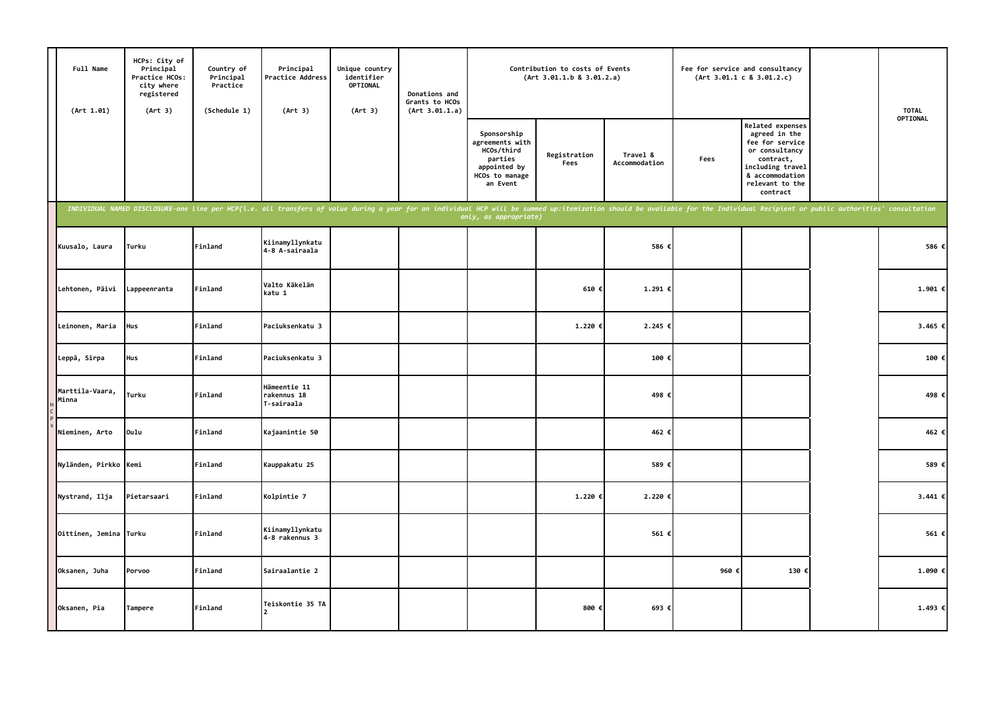| Full Name<br>(Art 1.01)  | HCPs: City of<br>Principal<br>Practice HCOs:<br>city where<br>registered<br>(Art 3) | Country of<br>Principal<br>Practice<br>(Schedule 1) | Principal<br>Practice Address<br>(Art 3)                                                                                                                                                                                       | Unique country<br>identifier<br>OPTIONAL<br>(Art 3) | Donations and<br>Grants to HCOs<br>(Art 3.01.1.a) |                                                                                                       | Contribution to costs of Events<br>(Art 3.01.1.b 8 3.01.2.a) |                           | Fee for service and consultancy<br>(Art 3.01.1 c 8 3.01.2.c) |                                                                                                                                                                  | <b>TOTAL</b>     |
|--------------------------|-------------------------------------------------------------------------------------|-----------------------------------------------------|--------------------------------------------------------------------------------------------------------------------------------------------------------------------------------------------------------------------------------|-----------------------------------------------------|---------------------------------------------------|-------------------------------------------------------------------------------------------------------|--------------------------------------------------------------|---------------------------|--------------------------------------------------------------|------------------------------------------------------------------------------------------------------------------------------------------------------------------|------------------|
|                          |                                                                                     |                                                     |                                                                                                                                                                                                                                |                                                     |                                                   | Sponsorship<br>agreements with<br>HCOs/third<br>parties<br>appointed by<br>HCOs to manage<br>an Event | Registration<br>Fees                                         | Travel &<br>Accommodation | Fees                                                         | <b>Related expenses</b><br>agreed in the<br>fee for service<br>or consultancy<br>contract,<br>including travel<br>& accommodation<br>relevant to the<br>contract | OPTIONAL         |
|                          |                                                                                     |                                                     | INDIVIDUAL NAMED DISCLOSURE-one line per HCP(i.e. all transfers of value during a year for an individual HCP will be summed up:itemization should be available for the Individual Recipient or public authorities' consultatio |                                                     |                                                   | only, as appropriate)                                                                                 |                                                              |                           |                                                              |                                                                                                                                                                  |                  |
| Kuusalo, Laura           | Turku                                                                               | Finland                                             | Kiinamyllynkatu<br>4-8 A-sairaala                                                                                                                                                                                              |                                                     |                                                   |                                                                                                       |                                                              | 586 €                     |                                                              |                                                                                                                                                                  | 586 €            |
| Lehtonen, Päivi          | Lappeenranta                                                                        | Finland                                             | Valto Käkelän<br>katu 1                                                                                                                                                                                                        |                                                     |                                                   |                                                                                                       | 610 €                                                        | 1.291 €                   |                                                              |                                                                                                                                                                  | 1.901 €          |
| Leinonen, Maria          | Hus                                                                                 | Finland                                             | Paciuksenkatu 3                                                                                                                                                                                                                |                                                     |                                                   |                                                                                                       | 1.220€                                                       | 2.245 €                   |                                                              |                                                                                                                                                                  | $3.465 \text{ }$ |
| Leppä, Sirpa             | Hus                                                                                 | Finland                                             | Paciuksenkatu 3                                                                                                                                                                                                                |                                                     |                                                   |                                                                                                       |                                                              | 100 €                     |                                                              |                                                                                                                                                                  | 100 €            |
| Marttila-Vaara,<br>Minna | Turku                                                                               | Finland                                             | Hämeentie 11<br>rakennus 18<br>T-sairaala                                                                                                                                                                                      |                                                     |                                                   |                                                                                                       |                                                              | 498 €                     |                                                              |                                                                                                                                                                  | 498 €            |
| Nieminen, Arto           | Oulu                                                                                | Finland                                             | Kajaanintie 50                                                                                                                                                                                                                 |                                                     |                                                   |                                                                                                       |                                                              | 462 €                     |                                                              |                                                                                                                                                                  | 462 €            |
| Nyländen, Pirkko Kemi    |                                                                                     | Finland                                             | Kauppakatu 25                                                                                                                                                                                                                  |                                                     |                                                   |                                                                                                       |                                                              | 589€                      |                                                              |                                                                                                                                                                  | 589 €            |
| Nystrand, Ilja           | Pietarsaari                                                                         | Finland                                             | Kolpintie 7                                                                                                                                                                                                                    |                                                     |                                                   |                                                                                                       | 1.220€                                                       | 2.220€                    |                                                              |                                                                                                                                                                  | 3.441 €          |
| Oittinen, Jemina Turku   |                                                                                     | Finland                                             | Kiinamyllynkatu<br>4-8 rakennus 3                                                                                                                                                                                              |                                                     |                                                   |                                                                                                       |                                                              | 561 €                     |                                                              |                                                                                                                                                                  | 561 €            |
| Oksanen, Juha            | Porvoo                                                                              | Finland                                             | Sairaalantie 2                                                                                                                                                                                                                 |                                                     |                                                   |                                                                                                       |                                                              |                           | 960€                                                         | 130 €                                                                                                                                                            | 1.090 €          |
| Oksanen, Pia             | Tampere                                                                             | Finland                                             | Teiskontie 35 TA                                                                                                                                                                                                               |                                                     |                                                   |                                                                                                       | 800€                                                         | 693 €                     |                                                              |                                                                                                                                                                  | 1.493 €          |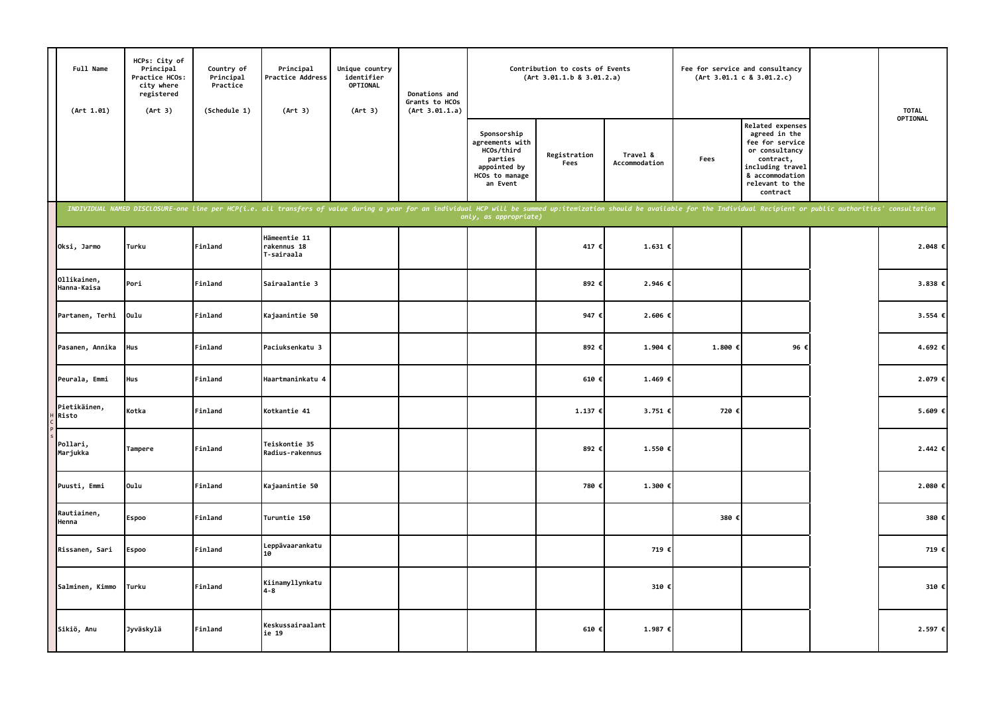| Full Name<br>(Art 1.01)    | HCPs: City of<br>Principal<br>Practice HCOs:<br>city where<br>registered<br>(Art 3) | Country of<br>Principal<br>Practice<br>(Schedule 1) | Principal<br>Practice Address<br>(Art 3)                                                                                                                                                                                       | Unique country<br>identifier<br>OPTIONAL<br>(Art 3) | Donations and<br>Grants to HCOs<br>(Art 3.01.1.a) |                                                                                                       | Contribution to costs of Events<br>(Art 3.01.1.b 8 3.01.2.a) |                           |         | Fee for service and consultancy<br>(Art 3.01.1 c 8 3.01.2.c)                                                                                              | <b>TOTAL</b> |
|----------------------------|-------------------------------------------------------------------------------------|-----------------------------------------------------|--------------------------------------------------------------------------------------------------------------------------------------------------------------------------------------------------------------------------------|-----------------------------------------------------|---------------------------------------------------|-------------------------------------------------------------------------------------------------------|--------------------------------------------------------------|---------------------------|---------|-----------------------------------------------------------------------------------------------------------------------------------------------------------|--------------|
|                            |                                                                                     |                                                     |                                                                                                                                                                                                                                |                                                     |                                                   | Sponsorship<br>agreements with<br>HCOs/third<br>parties<br>appointed by<br>HCOs to manage<br>an Event | Registration<br>Fees                                         | Travel &<br>Accommodation | Fees    | Related expenses<br>agreed in the<br>fee for service<br>or consultancy<br>contract,<br>including travel<br>& accommodation<br>relevant to the<br>contract | OPTIONAL     |
|                            |                                                                                     |                                                     | INDIVIDUAL NAMED DISCLOSURE-one line per HCP(i.e. all transfers of value during a year for an individual HCP will be summed up:itemization should be available for the Individual Recipient or public authorities' consultatio |                                                     |                                                   | only, as appropriate)                                                                                 |                                                              |                           |         |                                                                                                                                                           |              |
| Oksi, Jarmo                | Turku                                                                               | Finland                                             | Hämeentie 11<br>rakennus 18<br>T-sairaala                                                                                                                                                                                      |                                                     |                                                   |                                                                                                       | 417 €                                                        | 1.631 €                   |         |                                                                                                                                                           | 2.048 €      |
| 011ikainen,<br>Hanna-Kaisa | Pori                                                                                | Finland                                             | Sairaalantie 3                                                                                                                                                                                                                 |                                                     |                                                   |                                                                                                       | 892€                                                         | 2.946 €                   |         |                                                                                                                                                           | 3.838 €      |
| Partanen, Terhi            | Oulu                                                                                | Finland                                             | Kajaanintie 50                                                                                                                                                                                                                 |                                                     |                                                   |                                                                                                       | 947 €                                                        | 2.606 €                   |         |                                                                                                                                                           | 3.554 €      |
| Pasanen, Annika            | Hus                                                                                 | Finland                                             | Paciuksenkatu 3                                                                                                                                                                                                                |                                                     |                                                   |                                                                                                       | 892 €                                                        | 1.904 €                   | 1.800 € | 96 €                                                                                                                                                      | 4.692 €      |
| Peurala, Emmi              | Hus                                                                                 | Finland                                             | Haartmaninkatu 4                                                                                                                                                                                                               |                                                     |                                                   |                                                                                                       | 610 €                                                        | 1.469 €                   |         |                                                                                                                                                           | 2.079 €      |
| Pietikäinen,<br>Risto      | Kotka                                                                               | Finland                                             | Kotkantie 41                                                                                                                                                                                                                   |                                                     |                                                   |                                                                                                       | 1.137 €                                                      | 3.751 €                   | 720 €   |                                                                                                                                                           | 5.609 €      |
| Pollari,<br>Marjukka       | Tampere                                                                             | Finland                                             | Teiskontie 35<br>Radius-rakennus                                                                                                                                                                                               |                                                     |                                                   |                                                                                                       | 892 €                                                        | 1.550 €                   |         |                                                                                                                                                           | $2.442 \in$  |
| Puusti, Emmi               | Oulu                                                                                | Finland                                             | Kajaanintie 50                                                                                                                                                                                                                 |                                                     |                                                   |                                                                                                       | 780 €                                                        | 1.300 €                   |         |                                                                                                                                                           | 2.080 €      |
| Rautiainen,<br>Henna       | Espoo                                                                               | Finland                                             | <b>Turuntie 150</b>                                                                                                                                                                                                            |                                                     |                                                   |                                                                                                       |                                                              |                           | 380 €   |                                                                                                                                                           | 380 €        |
| Rissanen, Sari             | Espoo                                                                               | Finland                                             | Leppävaarankatu<br>10                                                                                                                                                                                                          |                                                     |                                                   |                                                                                                       |                                                              | 719 €                     |         |                                                                                                                                                           | 719 €        |
| Salminen, Kimmo            | Turku                                                                               | Finland                                             | Kiinamyllynkatu<br>$4 - 8$                                                                                                                                                                                                     |                                                     |                                                   |                                                                                                       |                                                              | 310 €                     |         |                                                                                                                                                           | 310 €        |
| Sikiö, Anu                 | Jyväskylä                                                                           | Finland                                             | Keskussairaalant<br>ie 19                                                                                                                                                                                                      |                                                     |                                                   |                                                                                                       | 610 €                                                        | 1.987 €                   |         |                                                                                                                                                           | 2.597 €      |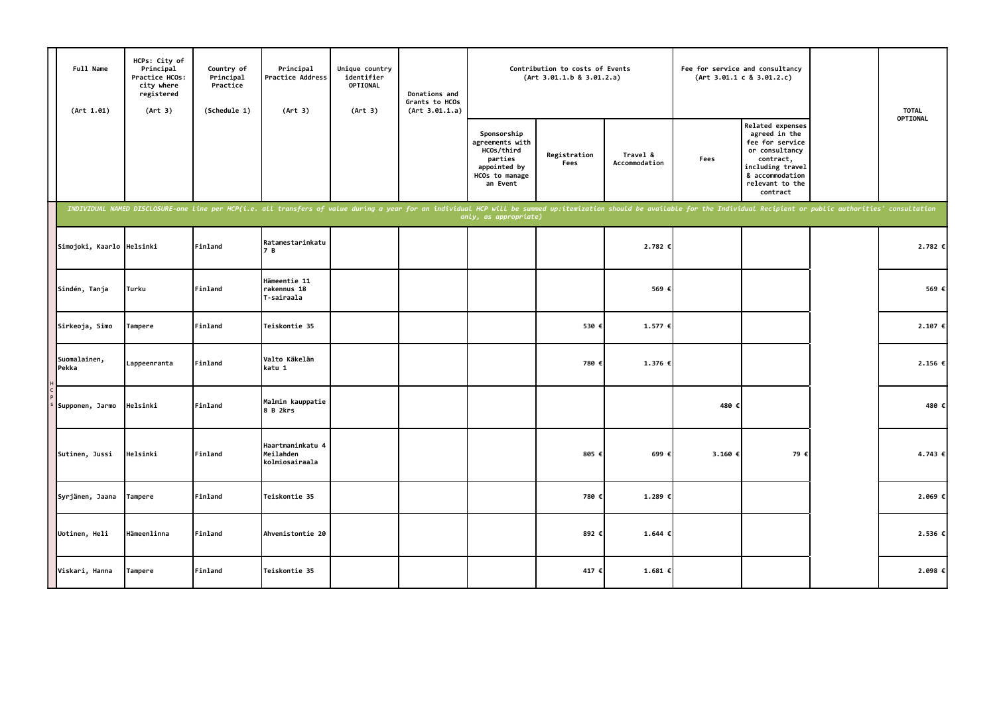| Full Name<br>(Art 1.01)   | HCPs: City of<br>Principal<br>Practice HCOs:<br>city where<br>registered<br>(Art 3) | Country of<br>Principal<br>Practice<br>(Schedule 1) | Principal<br>Practice Address<br>(Art 3)                                                                                                                                                                                       | Unique country<br>identifier<br>OPTIONAL<br>(Art 3) | Donations and<br>Grants to HCOs<br>(Art 3.01.1.a) |                                                                                                       | Contribution to costs of Events<br>(Art 3.01.1.b 8 3.01.2.a) |                           | Fee for service and consultancy<br>(Art 3.01.1 c 8 3.01.2.c) |                                                                                                                                                           | <b>TOTAL</b> |
|---------------------------|-------------------------------------------------------------------------------------|-----------------------------------------------------|--------------------------------------------------------------------------------------------------------------------------------------------------------------------------------------------------------------------------------|-----------------------------------------------------|---------------------------------------------------|-------------------------------------------------------------------------------------------------------|--------------------------------------------------------------|---------------------------|--------------------------------------------------------------|-----------------------------------------------------------------------------------------------------------------------------------------------------------|--------------|
|                           |                                                                                     |                                                     |                                                                                                                                                                                                                                |                                                     |                                                   | Sponsorship<br>agreements with<br>HCOs/third<br>parties<br>appointed by<br>HCOs to manage<br>an Event | Registration<br>Fees                                         | Travel &<br>Accommodation | Fees                                                         | Related expenses<br>agreed in the<br>fee for service<br>or consultancy<br>contract,<br>including travel<br>& accommodation<br>relevant to the<br>contract | OPTIONAL     |
|                           |                                                                                     |                                                     | INDIVIDUAL NAMED DISCLOSURE-one line per HCP(i.e. all transfers of value during a year for an individual HCP will be summed up:itemization should be available for the Individual Recipient or public authorities' consultatio |                                                     |                                                   | only, as appropriate)                                                                                 |                                                              |                           |                                                              |                                                                                                                                                           |              |
| Simojoki, Kaarlo Helsinki |                                                                                     | Finland                                             | Ratamestarinkatu<br>7 B                                                                                                                                                                                                        |                                                     |                                                   |                                                                                                       |                                                              | 2.782 €                   |                                                              |                                                                                                                                                           | 2.782 €      |
| Sindén, Tanja             | Turku                                                                               | Finland                                             | Hämeentie 11<br>rakennus 18<br>T-sairaala                                                                                                                                                                                      |                                                     |                                                   |                                                                                                       |                                                              | 569€                      |                                                              |                                                                                                                                                           | 569 €        |
| Sirkeoja, Simo            | Tampere                                                                             | Finland                                             | Teiskontie 35                                                                                                                                                                                                                  |                                                     |                                                   |                                                                                                       | 530 €                                                        | 1.577 €                   |                                                              |                                                                                                                                                           | 2.107 €      |
| Suomalainen,<br>Pekka     | Lappeenranta                                                                        | Finland                                             | Valto Käkelän<br>katu 1                                                                                                                                                                                                        |                                                     |                                                   |                                                                                                       | 780 €                                                        | 1.376€                    |                                                              |                                                                                                                                                           | 2.156 €      |
| Supponen, Jarmo           | Helsinki                                                                            | Finland                                             | Malmin kauppatie<br>8 B 2krs                                                                                                                                                                                                   |                                                     |                                                   |                                                                                                       |                                                              |                           | 480 €                                                        |                                                                                                                                                           | 480 €        |
| Sutinen, Jussi            | Helsinki                                                                            | Finland                                             | Haartmaninkatu 4<br>Meilahden<br>kolmiosairaala                                                                                                                                                                                |                                                     |                                                   |                                                                                                       | 805 €                                                        | 699€                      | 3.160 €                                                      | 79 €                                                                                                                                                      | 4.743 €      |
| Syrjänen, Jaana           | Tampere                                                                             | Finland                                             | Teiskontie 35                                                                                                                                                                                                                  |                                                     |                                                   |                                                                                                       | 780€                                                         | 1.289 €                   |                                                              |                                                                                                                                                           | 2.069 €      |
| Uotinen, Heli             | Hämeenlinna                                                                         | Finland                                             | Ahvenistontie 20                                                                                                                                                                                                               |                                                     |                                                   |                                                                                                       | 892 €                                                        | $1.644$ €                 |                                                              |                                                                                                                                                           | 2.536 €      |
| Viskari, Hanna            | Tampere                                                                             | Finland                                             | Teiskontie 35                                                                                                                                                                                                                  |                                                     |                                                   |                                                                                                       | 417 €                                                        | 1.681 €                   |                                                              |                                                                                                                                                           | 2.098€       |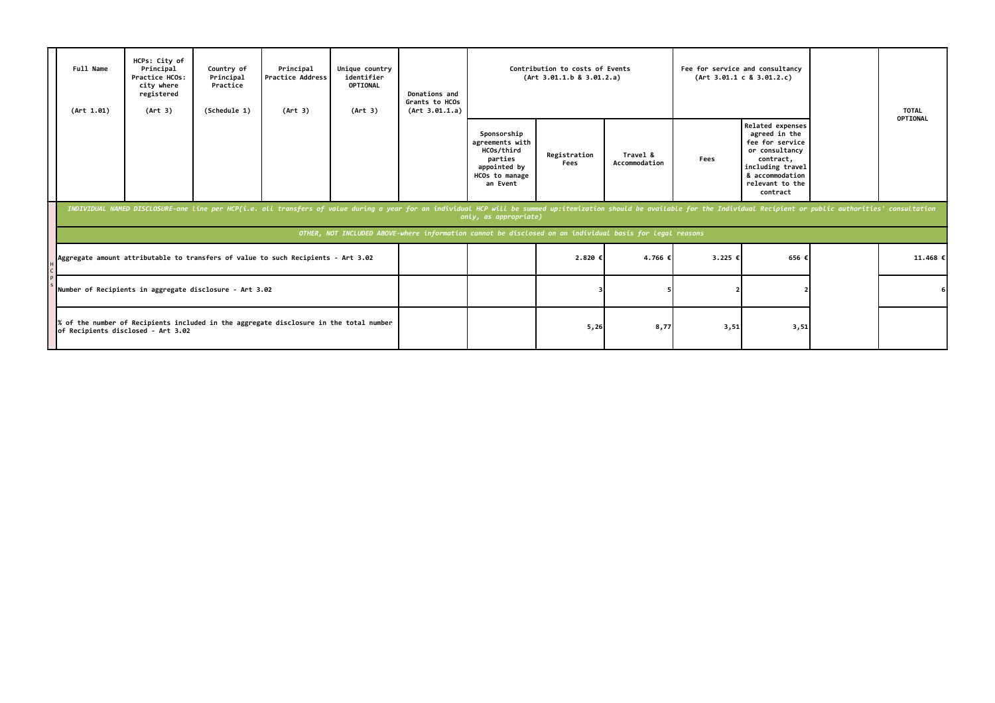|                                                                                                                            | Full Name<br>(Art 1.01)                                 | HCPs: City of<br>Principal<br>Practice HCOs:<br>city where<br>registered<br>(Art 3) | Country of<br>Principal<br>Practice<br>(Schedule 1) | Principal<br><b>Practice Address</b><br>(Art 3)                                                                                                                                                                                | Unique country<br>identifier<br>OPTIONAL<br>(Art 3) | Donations and<br>Grants to HCOs<br>(Art 3.01.1.a) |                                                                                                          | Contribution to costs of Events<br>(Art 3.01.1.b 8 3.01.2.a) |                           | Fee for service and consultancy | (Art 3.01.1 c 8 3.01.2.c)                                                                                                                                 | <b>TOTAL</b><br>OPTIONAL |
|----------------------------------------------------------------------------------------------------------------------------|---------------------------------------------------------|-------------------------------------------------------------------------------------|-----------------------------------------------------|--------------------------------------------------------------------------------------------------------------------------------------------------------------------------------------------------------------------------------|-----------------------------------------------------|---------------------------------------------------|----------------------------------------------------------------------------------------------------------|--------------------------------------------------------------|---------------------------|---------------------------------|-----------------------------------------------------------------------------------------------------------------------------------------------------------|--------------------------|
|                                                                                                                            |                                                         |                                                                                     |                                                     |                                                                                                                                                                                                                                |                                                     |                                                   | Sponsorship<br>agreements with<br>HCOs/third<br>parties<br>appointed by<br>HCOs to manage<br>an Event    | Registration<br>Fees                                         | Travel &<br>Accommodation | Fees                            | Related expenses<br>agreed in the<br>fee for service<br>or consultancy<br>contract,<br>including travel<br>& accommodation<br>relevant to the<br>contract |                          |
|                                                                                                                            |                                                         |                                                                                     |                                                     | INDIVIDUAL NAMED DISCLOSURE-one line per HCP(i.e. all transfers of value during a year for an individual HCP will be summed up:itemization should be available for the Individual Recipient or public authorities' consultatio |                                                     |                                                   | only, as appropriate)                                                                                    |                                                              |                           |                                 |                                                                                                                                                           |                          |
|                                                                                                                            |                                                         |                                                                                     |                                                     |                                                                                                                                                                                                                                |                                                     |                                                   | OTHER, NOT INCLUDED ABOVE-where information cannot be disclosed on an individual basis for legal reasons |                                                              |                           |                                 |                                                                                                                                                           |                          |
|                                                                                                                            |                                                         |                                                                                     |                                                     | Aggregate amount attributable to transfers of value to such Recipients - Art 3.02                                                                                                                                              |                                                     |                                                   |                                                                                                          | 2.820€                                                       | 4.766€                    | 3.225 €                         | 656 €                                                                                                                                                     | $11.468$ €               |
|                                                                                                                            | Number of Recipients in aggregate disclosure - Art 3.02 |                                                                                     |                                                     |                                                                                                                                                                                                                                |                                                     |                                                   |                                                                                                          |                                                              |                           |                                 |                                                                                                                                                           |                          |
| of the number of Recipients included in the aggregate disclosure in the total number<br>of Recipients disclosed - Art 3.02 |                                                         |                                                                                     |                                                     |                                                                                                                                                                                                                                |                                                     |                                                   | 5,26                                                                                                     | 8,77                                                         | 3,51                      | 3,51                            |                                                                                                                                                           |                          |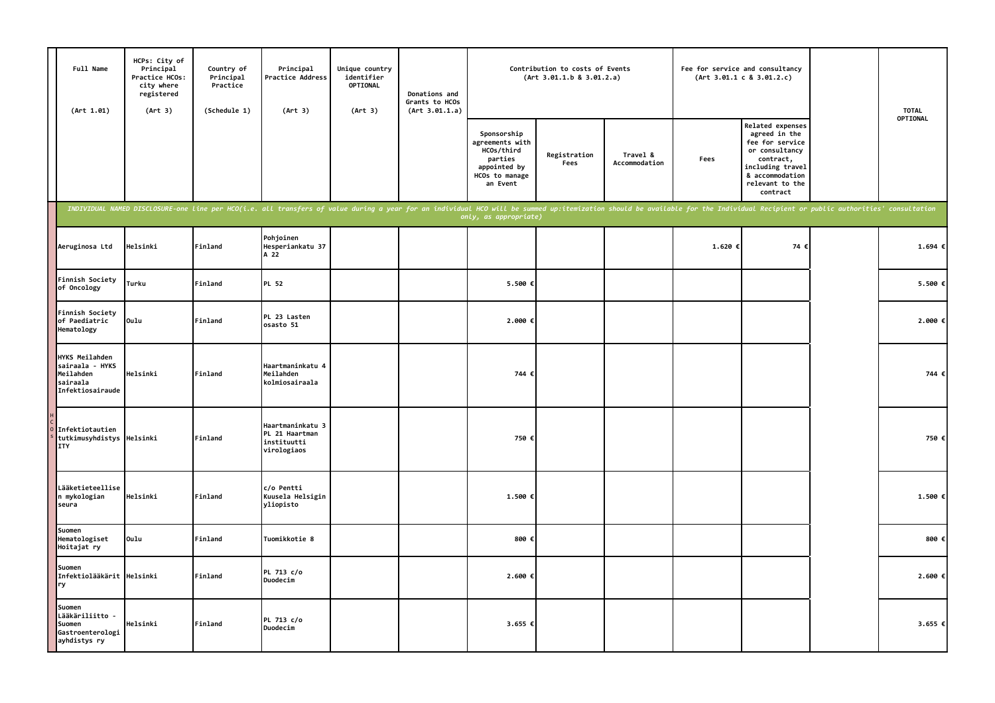| Full Name<br>(Art 1.01)                                                               | HCPs: City of<br>Principal<br>Practice HCOs:<br>city where<br>registered<br>(Art 3) | Country of<br>Principal<br>Practice<br>(Schedule 1) | Principal<br>Practice Address<br>(Art 3)                                                                                                                                                                                       | Unique country<br>identifier<br>OPTIONAL<br>(Art 3) | Donations and<br>Grants to HCOs<br>(Art 3.01.1.a) | Contribution to costs of Events<br>(Art 3.01.1.b 8 3.01.2.a)                                          |                      |                           | Fee for service and consultancy | (Art 3.01.1 c 8 3.01.2.c)                                                                                                                                 | <b>TOTAL</b><br>OPTIONAL |
|---------------------------------------------------------------------------------------|-------------------------------------------------------------------------------------|-----------------------------------------------------|--------------------------------------------------------------------------------------------------------------------------------------------------------------------------------------------------------------------------------|-----------------------------------------------------|---------------------------------------------------|-------------------------------------------------------------------------------------------------------|----------------------|---------------------------|---------------------------------|-----------------------------------------------------------------------------------------------------------------------------------------------------------|--------------------------|
|                                                                                       |                                                                                     |                                                     |                                                                                                                                                                                                                                |                                                     |                                                   | Sponsorship<br>agreements with<br>HCOs/third<br>parties<br>appointed by<br>HCOs to manage<br>an Event | Registration<br>Fees | Travel &<br>Accommodation | Fees                            | Related expenses<br>agreed in the<br>fee for service<br>or consultancy<br>contract,<br>including travel<br>& accommodation<br>relevant to the<br>contract |                          |
|                                                                                       |                                                                                     |                                                     | INDIVIDUAL NAMED DISCLOSURE-one line per HCO(i.e. all transfers of value during a year for an individual HCO will be summed up:itemization should be available for the Individual Recipient or public authorities' consultatio |                                                     |                                                   | only, as appropriate)                                                                                 |                      |                           |                                 |                                                                                                                                                           |                          |
| Aeruginosa Ltd                                                                        | Helsinki                                                                            | Finland                                             | Pohjoinen<br>Hesperiankatu 37<br>A 22                                                                                                                                                                                          |                                                     |                                                   |                                                                                                       |                      |                           | 1.620 €                         | 74 €                                                                                                                                                      | 1.694 €                  |
| <b>Finnish Society</b><br>of Oncology                                                 | Turku                                                                               | Finland                                             | <b>PL 52</b>                                                                                                                                                                                                                   |                                                     |                                                   | 5.500 €                                                                                               |                      |                           |                                 |                                                                                                                                                           | 5.500 €                  |
| Finnish Society<br>of Paediatric<br>Hematology                                        | Oulu                                                                                | Finland                                             | PL 23 Lasten<br>osasto 51                                                                                                                                                                                                      |                                                     |                                                   | 2.000 €                                                                                               |                      |                           |                                 |                                                                                                                                                           | 2.000€                   |
| <b>HYKS Meilahden</b><br>sairaala - HYKS<br>Meilahden<br>sairaala<br>Infektiosairaude | Helsinki                                                                            | Finland                                             | Haartmaninkatu 4<br>Meilahden<br>kolmiosairaala                                                                                                                                                                                |                                                     |                                                   | 744 €                                                                                                 |                      |                           |                                 |                                                                                                                                                           | 744 €                    |
| Infektiotautien<br>tutkimusyhdistys Helsinki<br><b>ITY</b>                            |                                                                                     | Finland                                             | Haartmaninkatu 3<br>PL 21 Haartman<br>instituutti<br>virologiaos                                                                                                                                                               |                                                     |                                                   | 750 €                                                                                                 |                      |                           |                                 |                                                                                                                                                           | 750 €                    |
| Lääketieteellise<br>n mykologian<br>seura                                             | Helsinki                                                                            | Finland                                             | c/o Pentti<br>Kuusela Helsigin<br>yliopisto                                                                                                                                                                                    |                                                     |                                                   | 1.500 €                                                                                               |                      |                           |                                 |                                                                                                                                                           | 1.500€                   |
| Suomen<br>Hematologiset<br>Hoitajat ry                                                | Oulu                                                                                | Finland                                             | Tuomikkotie 8                                                                                                                                                                                                                  |                                                     |                                                   | 800 €                                                                                                 |                      |                           |                                 |                                                                                                                                                           | 800 €                    |
| Suomen<br>Infektiolääkärit<br><b>ry</b>                                               | Helsinki                                                                            | Finland                                             | PL 713 c/o<br>Duodecim                                                                                                                                                                                                         |                                                     |                                                   | 2.600 €                                                                                               |                      |                           |                                 |                                                                                                                                                           | 2.600 €                  |
| Suomen<br>Lääkäriliitto -<br>Suomen<br>Gastroenterologi<br>ayhdistys ry               | Helsinki                                                                            | Finland                                             | PL 713 c/o<br>Duodecim                                                                                                                                                                                                         |                                                     |                                                   | 3.655 €                                                                                               |                      |                           |                                 |                                                                                                                                                           | 3.655 €                  |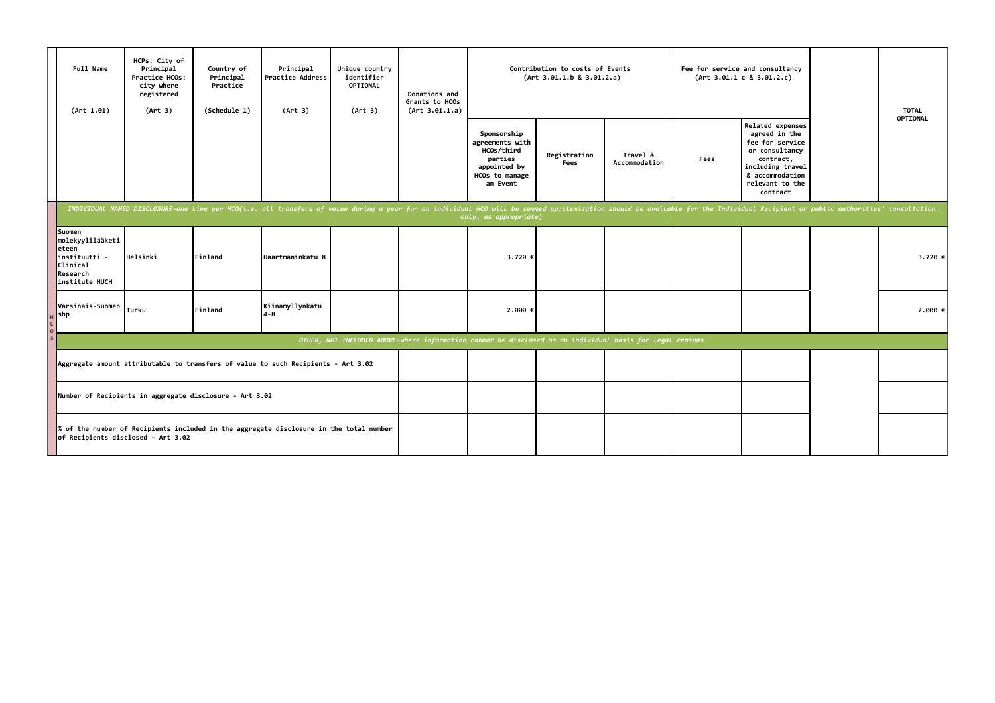|                                                                                                                              | Full Name<br>(Art 1.01)                                                                        | HCPs: City of<br>Principal<br>Practice HCOs:<br>city where<br>registered<br>(Art 3) | Country of<br>Principal<br>Practice<br>(Schedule 1) | Principal<br>Practice Address<br>(Art 3)                                          | Unique country<br>identifier<br>OPTIONAL<br>(Art 3) | Donations and<br>Grants to HCOs<br>(Art 3.01.1.a) |                                                                                                       | Contribution to costs of Events<br>(Art 3.01.1.b 8 3.01.2.a) |                           |      | Fee for service and consultancy<br>(Art 3.01.1 c 8 3.01.2.c)                                                                                              |                                                                                                                                                                                                                                | <b>TOTAL</b>    |
|------------------------------------------------------------------------------------------------------------------------------|------------------------------------------------------------------------------------------------|-------------------------------------------------------------------------------------|-----------------------------------------------------|-----------------------------------------------------------------------------------|-----------------------------------------------------|---------------------------------------------------|-------------------------------------------------------------------------------------------------------|--------------------------------------------------------------|---------------------------|------|-----------------------------------------------------------------------------------------------------------------------------------------------------------|--------------------------------------------------------------------------------------------------------------------------------------------------------------------------------------------------------------------------------|-----------------|
|                                                                                                                              |                                                                                                |                                                                                     |                                                     |                                                                                   |                                                     |                                                   | Sponsorship<br>agreements with<br>HCOs/third<br>parties<br>appointed by<br>HCOs to manage<br>an Event | Registration<br>Fees                                         | Travel &<br>Accommodation | Fees | Related expenses<br>agreed in the<br>fee for service<br>or consultancy<br>contract,<br>including travel<br>& accommodation<br>relevant to the<br>contract |                                                                                                                                                                                                                                | <b>OPTIONAL</b> |
|                                                                                                                              |                                                                                                |                                                                                     |                                                     |                                                                                   |                                                     |                                                   | only, as appropriate)                                                                                 |                                                              |                           |      |                                                                                                                                                           | INDIVIDUAL NAMED DISCLOSURE-one line per HCO(i.e. all transfers of value during a year for an individual HCO will be summed up:itemization should be available for the Individual Recipient or public authorities' consultatio |                 |
|                                                                                                                              | Suomen<br>molekyylilääketi<br>eteen<br>instituutti -<br>Clinical<br>Research<br>institute HUCH | Helsinki                                                                            | <b>Finland</b>                                      | Haartmaninkatu 8                                                                  |                                                     |                                                   | 3.720€                                                                                                |                                                              |                           |      |                                                                                                                                                           |                                                                                                                                                                                                                                | 3.720 €         |
|                                                                                                                              | Varsinais-Suomen<br>shp                                                                        | Turku                                                                               | <b>I</b> Finland                                    | Kiinamyllynkatu<br>4-8                                                            |                                                     |                                                   | 2.000 €                                                                                               |                                                              |                           |      |                                                                                                                                                           |                                                                                                                                                                                                                                | 2.000 €         |
| OTHER, NOT INCLUDED ABOVE-where information cannot be disclosed on an individual basis for legal reasons                     |                                                                                                |                                                                                     |                                                     |                                                                                   |                                                     |                                                   |                                                                                                       |                                                              |                           |      |                                                                                                                                                           |                                                                                                                                                                                                                                |                 |
|                                                                                                                              |                                                                                                |                                                                                     |                                                     | Aggregate amount attributable to transfers of value to such Recipients - Art 3.02 |                                                     |                                                   |                                                                                                       |                                                              |                           |      |                                                                                                                                                           |                                                                                                                                                                                                                                |                 |
| Number of Recipients in aggregate disclosure - Art 3.02                                                                      |                                                                                                |                                                                                     |                                                     |                                                                                   |                                                     |                                                   |                                                                                                       |                                                              |                           |      |                                                                                                                                                           |                                                                                                                                                                                                                                |                 |
| % of the number of Recipients included in the aggregate disclosure in the total number<br>of Recipients disclosed - Art 3.02 |                                                                                                |                                                                                     |                                                     |                                                                                   |                                                     |                                                   |                                                                                                       |                                                              |                           |      |                                                                                                                                                           |                                                                                                                                                                                                                                |                 |